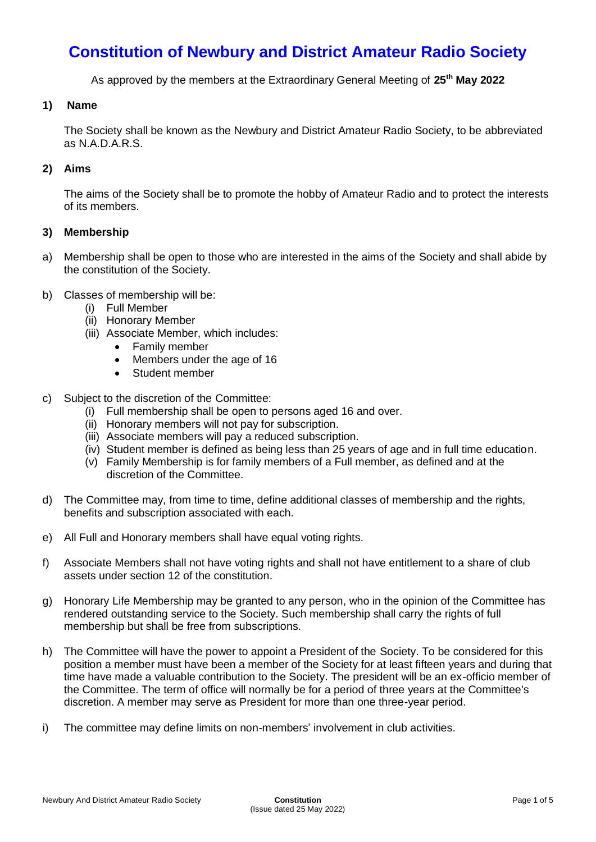# **Constitution of Newbury and District Amateur Radio Society**

As approved by the members at the Extraordinary General Meeting of **25th May 2022**

#### **1) Name**

The Society shall be known as the Newbury and District Amateur Radio Society, to be abbreviated as N.A.D.A.R.S.

### **2) Aims**

The aims of the Society shall be to promote the hobby of Amateur Radio and to protect the interests of its members.

#### **3) Membership**

- a) Membership shall be open to those who are interested in the aims of the Society and shall abide by the constitution of the Society.
- b) Classes of membership will be:
	- (i) Full Member
	- (ii) Honorary Member
	- (iii) Associate Member, which includes:
		- Family member
		- Members under the age of 16
		- Student member
- c) Subject to the discretion of the Committee:
	- (i) Full membership shall be open to persons aged 16 and over.
	- (ii) Honorary members will not pay for subscription.
	- (iii) Associate members will pay a reduced subscription.
	- (iv) Student member is defined as being less than 25 years of age and in full time education.
	- (v) Family Membership is for family members of a Full member, as defined and at the discretion of the Committee.
- d) The Committee may, from time to time, define additional classes of membership and the rights, benefits and subscription associated with each.
- e) All Full and Honorary members shall have equal voting rights.
- f) Associate Members shall not have voting rights and shall not have entitlement to a share of club assets under section 12 of the constitution.
- g) Honorary Life Membership may be granted to any person, who in the opinion of the Committee has rendered outstanding service to the Society. Such membership shall carry the rights of full membership but shall be free from subscriptions.
- h) The Committee will have the power to appoint a President of the Society. To be considered for this position a member must have been a member of the Society for at least fifteen years and during that time have made a valuable contribution to the Society. The president will be an ex-officio member of the Committee. The term of office will normally be for a period of three years at the Committee's discretion. A member may serve as President for more than one three-year period.
- i) The committee may define limits on non-members' involvement in club activities.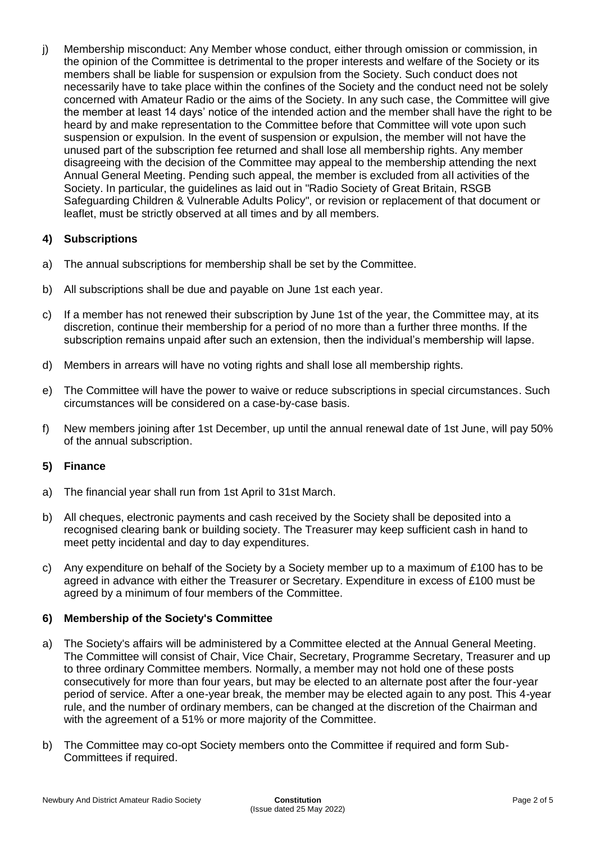j) Membership misconduct: Any Member whose conduct, either through omission or commission, in the opinion of the Committee is detrimental to the proper interests and welfare of the Society or its members shall be liable for suspension or expulsion from the Society. Such conduct does not necessarily have to take place within the confines of the Society and the conduct need not be solely concerned with Amateur Radio or the aims of the Society. In any such case, the Committee will give the member at least 14 days' notice of the intended action and the member shall have the right to be heard by and make representation to the Committee before that Committee will vote upon such suspension or expulsion. In the event of suspension or expulsion, the member will not have the unused part of the subscription fee returned and shall lose all membership rights. Any member disagreeing with the decision of the Committee may appeal to the membership attending the next Annual General Meeting. Pending such appeal, the member is excluded from all activities of the Society. In particular, the guidelines as laid out in "Radio Society of Great Britain, RSGB Safeguarding Children & Vulnerable Adults Policy", or revision or replacement of that document or leaflet, must be strictly observed at all times and by all members.

## **4) Subscriptions**

- a) The annual subscriptions for membership shall be set by the Committee.
- b) All subscriptions shall be due and payable on June 1st each year.
- c) If a member has not renewed their subscription by June 1st of the year, the Committee may, at its discretion, continue their membership for a period of no more than a further three months. If the subscription remains unpaid after such an extension, then the individual's membership will lapse.
- d) Members in arrears will have no voting rights and shall lose all membership rights.
- e) The Committee will have the power to waive or reduce subscriptions in special circumstances. Such circumstances will be considered on a case-by-case basis.
- f) New members joining after 1st December, up until the annual renewal date of 1st June, will pay 50% of the annual subscription.

## **5) Finance**

- a) The financial year shall run from 1st April to 31st March.
- b) All cheques, electronic payments and cash received by the Society shall be deposited into a recognised clearing bank or building society. The Treasurer may keep sufficient cash in hand to meet petty incidental and day to day expenditures.
- c) Any expenditure on behalf of the Society by a Society member up to a maximum of £100 has to be agreed in advance with either the Treasurer or Secretary. Expenditure in excess of £100 must be agreed by a minimum of four members of the Committee.

#### **6) Membership of the Society's Committee**

- a) The Society's affairs will be administered by a Committee elected at the Annual General Meeting. The Committee will consist of Chair, Vice Chair, Secretary, Programme Secretary, Treasurer and up to three ordinary Committee members. Normally, a member may not hold one of these posts consecutively for more than four years, but may be elected to an alternate post after the four-year period of service. After a one-year break, the member may be elected again to any post. This 4-year rule, and the number of ordinary members, can be changed at the discretion of the Chairman and with the agreement of a 51% or more majority of the Committee.
- b) The Committee may co-opt Society members onto the Committee if required and form Sub-Committees if required.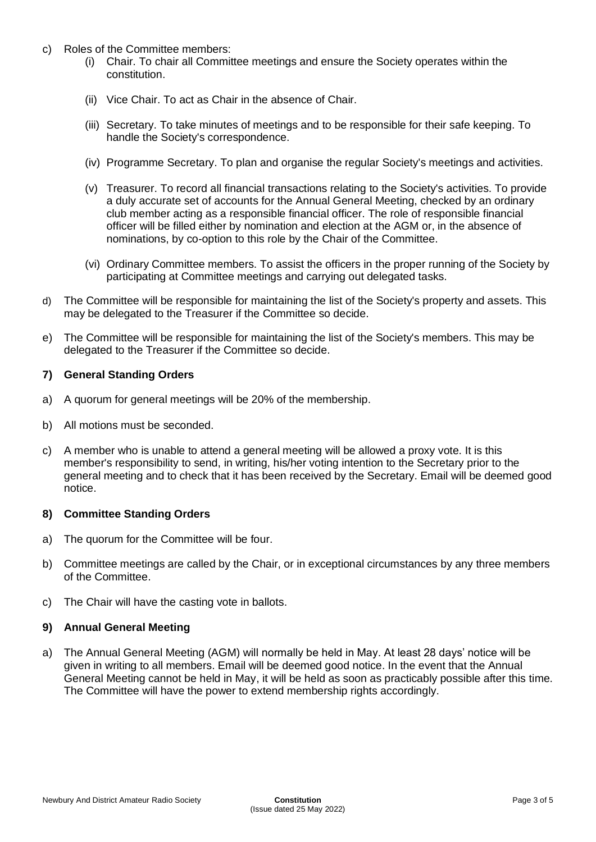- c) Roles of the Committee members:
	- (i) Chair. To chair all Committee meetings and ensure the Society operates within the constitution.
	- (ii) Vice Chair. To act as Chair in the absence of Chair.
	- (iii) Secretary. To take minutes of meetings and to be responsible for their safe keeping. To handle the Society's correspondence.
	- (iv) Programme Secretary. To plan and organise the regular Society's meetings and activities.
	- (v) Treasurer. To record all financial transactions relating to the Society's activities. To provide a duly accurate set of accounts for the Annual General Meeting, checked by an ordinary club member acting as a responsible financial officer. The role of responsible financial officer will be filled either by nomination and election at the AGM or, in the absence of nominations, by co-option to this role by the Chair of the Committee.
	- (vi) Ordinary Committee members. To assist the officers in the proper running of the Society by participating at Committee meetings and carrying out delegated tasks.
- d) The Committee will be responsible for maintaining the list of the Society's property and assets. This may be delegated to the Treasurer if the Committee so decide.
- e) The Committee will be responsible for maintaining the list of the Society's members. This may be delegated to the Treasurer if the Committee so decide.

#### **7) General Standing Orders**

- a) A quorum for general meetings will be 20% of the membership.
- b) All motions must be seconded.
- c) A member who is unable to attend a general meeting will be allowed a proxy vote. It is this member's responsibility to send, in writing, his/her voting intention to the Secretary prior to the general meeting and to check that it has been received by the Secretary. Email will be deemed good notice.

#### **8) Committee Standing Orders**

- a) The quorum for the Committee will be four.
- b) Committee meetings are called by the Chair, or in exceptional circumstances by any three members of the Committee.
- c) The Chair will have the casting vote in ballots.

#### **9) Annual General Meeting**

a) The Annual General Meeting (AGM) will normally be held in May. At least 28 days' notice will be given in writing to all members. Email will be deemed good notice. In the event that the Annual General Meeting cannot be held in May, it will be held as soon as practicably possible after this time. The Committee will have the power to extend membership rights accordingly.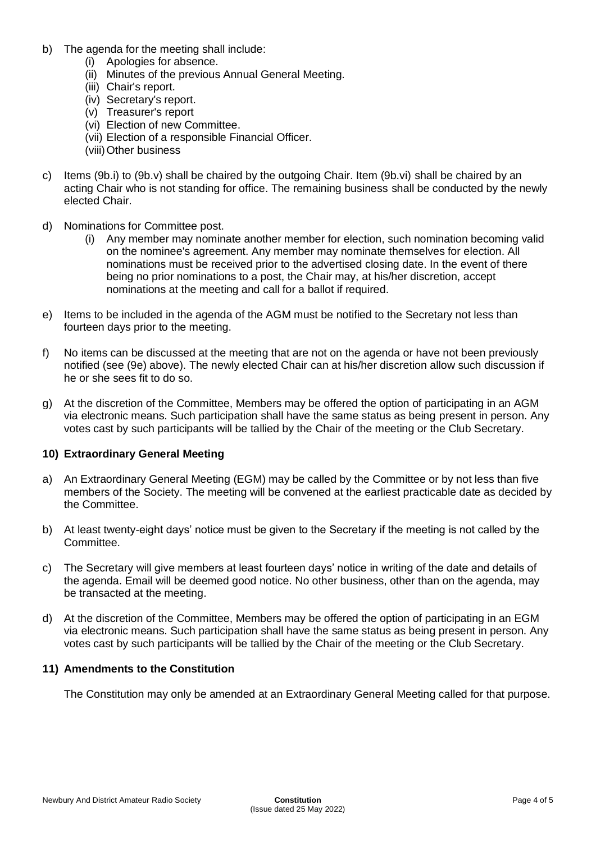- b) The agenda for the meeting shall include:
	- (i) Apologies for absence.
	- (ii) Minutes of the previous Annual General Meeting.
	- (iii) Chair's report.
	- (iv) Secretary's report.
	- (v) Treasurer's report
	- (vi) Election of new Committee.
	- (vii) Election of a responsible Financial Officer.
	- (viii)Other business
- c) Items (9b.i) to (9b.v) shall be chaired by the outgoing Chair. Item (9b.vi) shall be chaired by an acting Chair who is not standing for office. The remaining business shall be conducted by the newly elected Chair.
- d) Nominations for Committee post.
	- (i) Any member may nominate another member for election, such nomination becoming valid on the nominee's agreement. Any member may nominate themselves for election. All nominations must be received prior to the advertised closing date. In the event of there being no prior nominations to a post, the Chair may, at his/her discretion, accept nominations at the meeting and call for a ballot if required.
- e) Items to be included in the agenda of the AGM must be notified to the Secretary not less than fourteen days prior to the meeting.
- f) No items can be discussed at the meeting that are not on the agenda or have not been previously notified (see (9e) above). The newly elected Chair can at his/her discretion allow such discussion if he or she sees fit to do so.
- g) At the discretion of the Committee, Members may be offered the option of participating in an AGM via electronic means. Such participation shall have the same status as being present in person. Any votes cast by such participants will be tallied by the Chair of the meeting or the Club Secretary.

#### **10) Extraordinary General Meeting**

- a) An Extraordinary General Meeting (EGM) may be called by the Committee or by not less than five members of the Society. The meeting will be convened at the earliest practicable date as decided by the Committee.
- b) At least twenty-eight days' notice must be given to the Secretary if the meeting is not called by the Committee.
- c) The Secretary will give members at least fourteen days' notice in writing of the date and details of the agenda. Email will be deemed good notice. No other business, other than on the agenda, may be transacted at the meeting.
- d) At the discretion of the Committee, Members may be offered the option of participating in an EGM via electronic means. Such participation shall have the same status as being present in person. Any votes cast by such participants will be tallied by the Chair of the meeting or the Club Secretary.

#### **11) Amendments to the Constitution**

The Constitution may only be amended at an Extraordinary General Meeting called for that purpose.